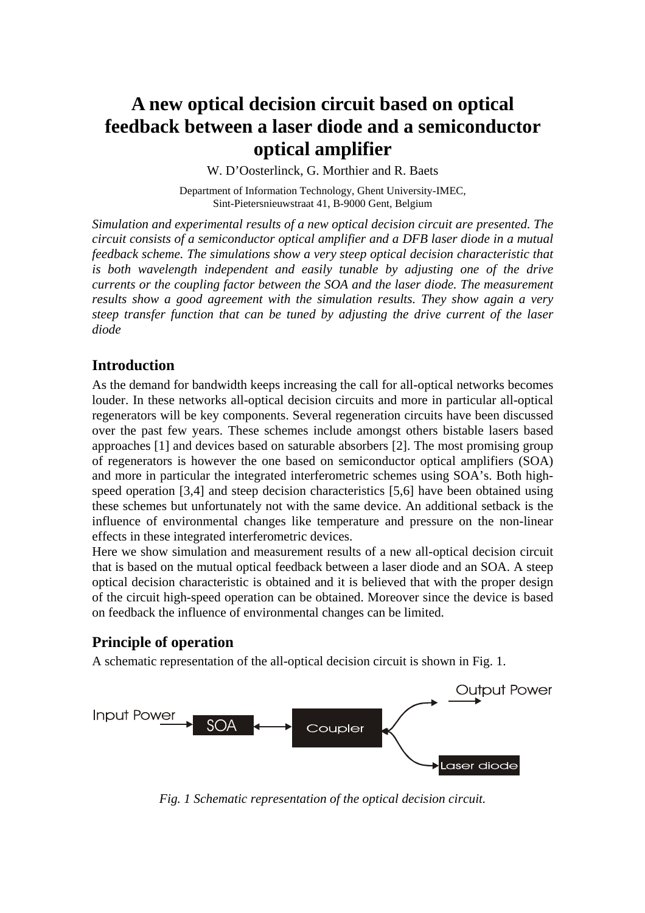# **A new optical decision circuit based on optical feedback between a laser diode and a semiconductor optical amplifier**

W. D'Oosterlinck, G. Morthier and R. Baets

Department of Information Technology, Ghent University-IMEC, Sint-Pietersnieuwstraat 41, B-9000 Gent, Belgium

*Simulation and experimental results of a new optical decision circuit are presented. The circuit consists of a semiconductor optical amplifier and a DFB laser diode in a mutual feedback scheme. The simulations show a very steep optical decision characteristic that is both wavelength independent and easily tunable by adjusting one of the drive currents or the coupling factor between the SOA and the laser diode. The measurement results show a good agreement with the simulation results. They show again a very steep transfer function that can be tuned by adjusting the drive current of the laser diode*

## **Introduction**

As the demand for bandwidth keeps increasing the call for all-optical networks becomes louder. In these networks all-optical decision circuits and more in particular all-optical regenerators will be key components. Several regeneration circuits have been discussed over the past few years. These schemes include amongst others bistable lasers based approaches [1] and devices based on saturable absorbers [2]. The most promising group of regenerators is however the one based on semiconductor optical amplifiers (SOA) and more in particular the integrated interferometric schemes using SOA's. Both highspeed operation [3,4] and steep decision characteristics [5,6] have been obtained using these schemes but unfortunately not with the same device. An additional setback is the influence of environmental changes like temperature and pressure on the non-linear effects in these integrated interferometric devices.

Here we show simulation and measurement results of a new all-optical decision circuit that is based on the mutual optical feedback between a laser diode and an SOA. A steep optical decision characteristic is obtained and it is believed that with the proper design of the circuit high-speed operation can be obtained. Moreover since the device is based on feedback the influence of environmental changes can be limited.

# **Principle of operation**

A schematic representation of the all-optical decision circuit is shown in Fig. 1.



*Fig. 1 Schematic representation of the optical decision circuit.*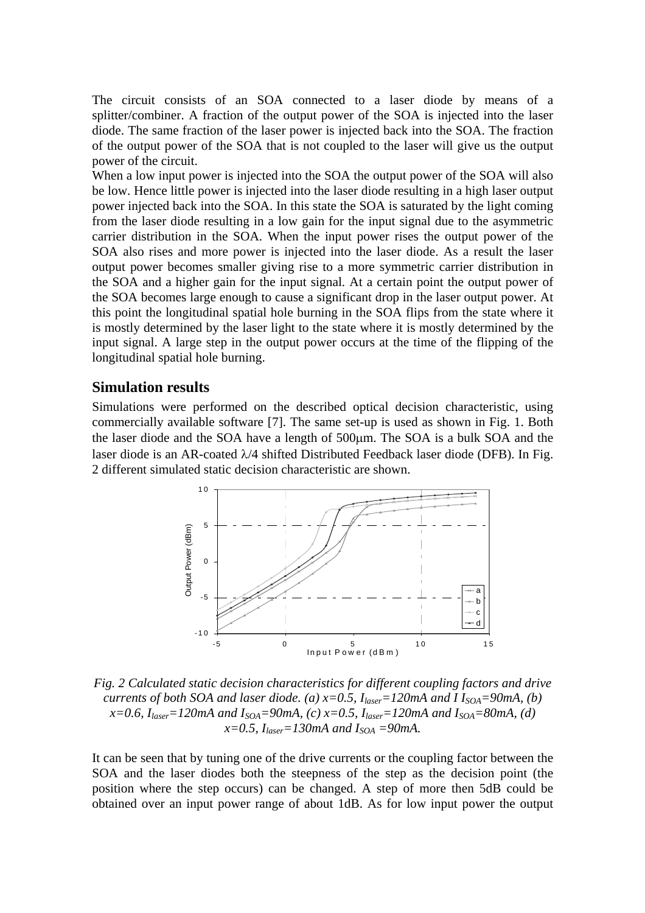The circuit consists of an SOA connected to a laser diode by means of a splitter/combiner. A fraction of the output power of the SOA is injected into the laser diode. The same fraction of the laser power is injected back into the SOA. The fraction of the output power of the SOA that is not coupled to the laser will give us the output power of the circuit.

When a low input power is injected into the SOA the output power of the SOA will also be low. Hence little power is injected into the laser diode resulting in a high laser output power injected back into the SOA. In this state the SOA is saturated by the light coming from the laser diode resulting in a low gain for the input signal due to the asymmetric carrier distribution in the SOA. When the input power rises the output power of the SOA also rises and more power is injected into the laser diode. As a result the laser output power becomes smaller giving rise to a more symmetric carrier distribution in the SOA and a higher gain for the input signal. At a certain point the output power of the SOA becomes large enough to cause a significant drop in the laser output power. At this point the longitudinal spatial hole burning in the SOA flips from the state where it is mostly determined by the laser light to the state where it is mostly determined by the input signal. A large step in the output power occurs at the time of the flipping of the longitudinal spatial hole burning.

#### **Simulation results**

Simulations were performed on the described optical decision characteristic, using commercially available software [7]. The same set-up is used as shown in Fig. 1. Both the laser diode and the SOA have a length of 500µm. The SOA is a bulk SOA and the laser diode is an AR-coated  $\lambda$ /4 shifted Distributed Feedback laser diode (DFB). In Fig. 2 different simulated static decision characteristic are shown.



*Fig. 2 Calculated static decision characteristics for different coupling factors and drive currents of both SOA and laser diode. (a) x=0.5,*  $I_{laser}=120$ *mA and I I<sub>SOA</sub>=90mA, (b)*  $x=0.6$ ,  $I_{laser}=120$ mA and  $I_{SOA}=90$ mA, (c)  $x=0.5$ ,  $I_{laser}=120$ mA and  $I_{SOA}=80$ mA, (d)  $x=0.5$ ,  $I_{laser}=130$ mA and  $I_{SOA}=90$ mA.

It can be seen that by tuning one of the drive currents or the coupling factor between the SOA and the laser diodes both the steepness of the step as the decision point (the position where the step occurs) can be changed. A step of more then 5dB could be obtained over an input power range of about 1dB. As for low input power the output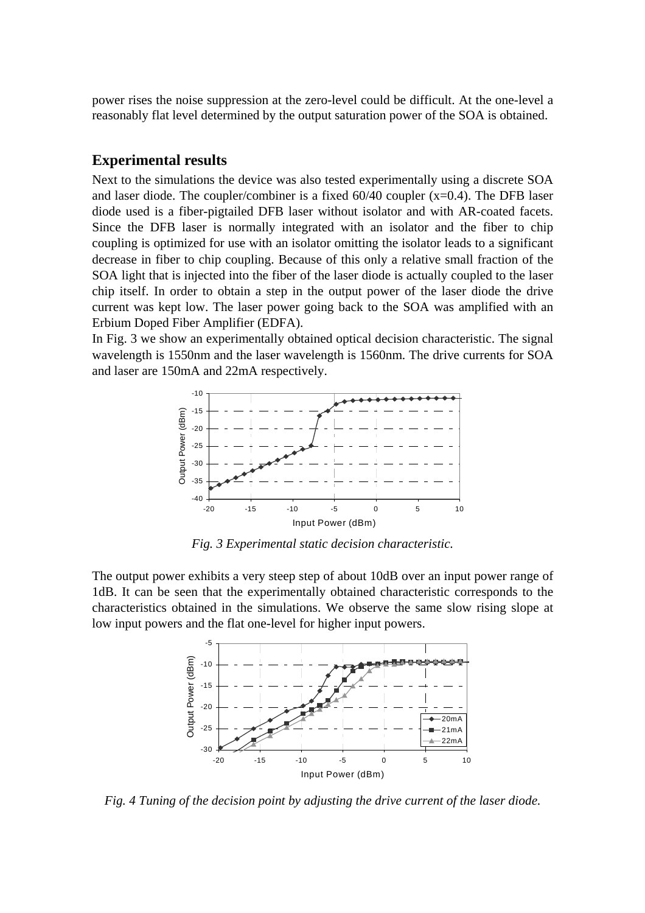power rises the noise suppression at the zero-level could be difficult. At the one-level a reasonably flat level determined by the output saturation power of the SOA is obtained.

#### **Experimental results**

Next to the simulations the device was also tested experimentally using a discrete SOA and laser diode. The coupler/combiner is a fixed 60/40 coupler (x=0.4). The DFB laser diode used is a fiber-pigtailed DFB laser without isolator and with AR-coated facets. Since the DFB laser is normally integrated with an isolator and the fiber to chip coupling is optimized for use with an isolator omitting the isolator leads to a significant decrease in fiber to chip coupling. Because of this only a relative small fraction of the SOA light that is injected into the fiber of the laser diode is actually coupled to the laser chip itself. In order to obtain a step in the output power of the laser diode the drive current was kept low. The laser power going back to the SOA was amplified with an Erbium Doped Fiber Amplifier (EDFA).

In Fig. 3 we show an experimentally obtained optical decision characteristic. The signal wavelength is 1550nm and the laser wavelength is 1560nm. The drive currents for SOA and laser are 150mA and 22mA respectively.



*Fig. 3 Experimental static decision characteristic.*

The output power exhibits a very steep step of about 10dB over an input power range of 1dB. It can be seen that the experimentally obtained characteristic corresponds to the characteristics obtained in the simulations. We observe the same slow rising slope at low input powers and the flat one-level for higher input powers.



*Fig. 4 Tuning of the decision point by adjusting the drive current of the laser diode.*